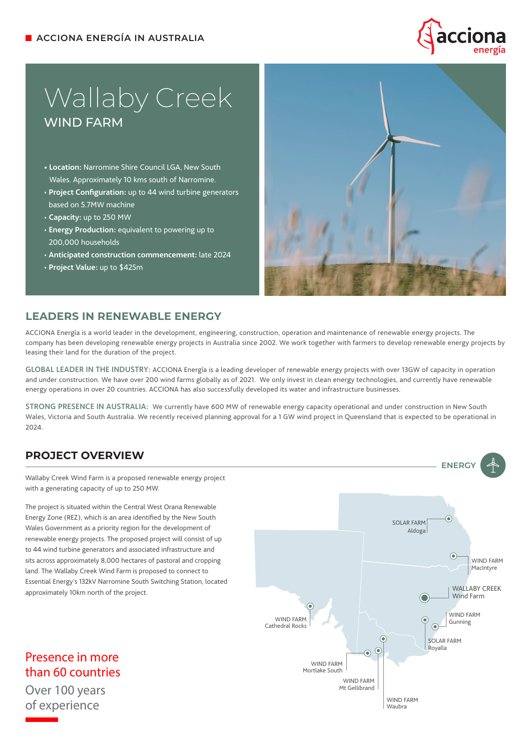

# Wallaby Creek WIND FARM

- **Location:** Narromine Shire Council LGA, New South Wales. Approximately 10 kms south of Narromine.
- **Project Configuration:** up to 44 wind turbine generators based on 5.7MW machine
- **Capacity:** up to 250 MW
- **Energy Production:** equivalent to powering up to 200,000 households
- **Anticipated construction commencement:** late 2024
- **Project Value:** up to \$425m



#### **LEADERS IN RENEWABLE ENERGY**

ACCIONA Energía is a world leader in the development, engineering, construction, operation and maintenance of renewable energy projects. The company has been developing renewable energy projects in Australia since 2002. We work together with farmers to develop renewable energy projects by leasing their land for the duration of the project.

GLOBAL LEADER IN THE INDUSTRY: ACCIONA Energía is a leading developer of renewable energy projects with over 13GW of capacity in operation and under construction. We have over 200 wind farms globally as of 2021. We only invest in clean energy technologies, and currently have renewable energy operations in over 20 countries. ACCIONA has also successfully developed its water and infrastructure businesses.

STRONG PRESENCE IN AUSTRALIA: We currently have 600 MW of renewable energy capacity operational and under construction in New South Wales, Victoria and South Australia. We recently received planning approval for a 1 GW wind project in Queensland that is expected to be operational in 2024.

## **PROJECT OVERVIEW**

Wallaby Creek Wind Farm is a proposed renewable energy project with a generating capacity of up to 250 MW.

The project is situated within the Central West Orana Renewable Energy Zone (REZ), which is an area identified by the New South Wales Government as a priority region for the development of renewable energy projects. The proposed project will consist of up to 44 wind turbine generators and associated infrastructure and sits across approximately 8,000 hectares of pastoral and cropping land. The Wallaby Creek Wind Farm is proposed to connect to Essential Energy's 132kV Narromine South Switching Station, located approximately 10km north of the project.

Presence in more than 60 countries

Over 100 years of experience